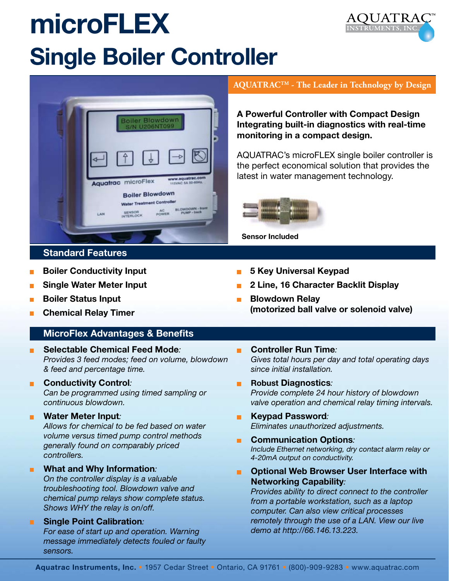## **microFLEX Single Boiler Controller**





#### **Standard Features**

- **Boiler Conductivity Input** П
- **Single Water Meter Input**
- **Boiler Status Input**
- **Chemical Relay Timer**

#### **MicroFlex Advantages & Benefits**

**Selectable Chemical Feed Mode***: Provides 3 feed modes; feed on volume, blowdown & feed and percentage time.*

#### **E** Conductivity Control:

*Can be programmed using timed sampling or continuous blowdown.*

#### **Water Meter Input***:*

*Allows for chemical to be fed based on water volume versus timed pump control methods generally found on comparably priced controllers.*

#### **What and Why Information***:*

*On the controller display is a valuable troubleshooting tool. Blowdown valve and chemical pump relays show complete status. Shows WHY the relay is on/off.*

#### **Single Point Calibration***:*

*For ease of start up and operation. Warning message immediately detects fouled or faulty sensors.*

#### **AQUATRACTM - The Leader in Technology by Design**

**A Powerful Controller with Compact Design Integrating built-in diagnostics with real-time monitoring in a compact design.**

AQUATRAC's microFLEX single boiler controller is the perfect economical solution that provides the latest in water management technology.



**Sensor Included**

- **5 Key Universal Keypad**
- **2 Line, 16 Character Backlit Display**
- **Blowdown Relay (motorized ball valve or solenoid valve)**
- **Controller Run Time***:*  $\blacksquare$ *Gives total hours per day and total operating days since initial installation.*
- $\blacksquare$ **Robust Diagnostics***: Provide complete 24 hour history of blowdown valve operation and chemical relay timing intervals.*
- **Keypad Password***: Eliminates unauthorized adjustments.*
- **Communication Options***:*  $\blacksquare$ *Include Ethernet networking, dry contact alarm relay or 4-20mA output on conductivity.*
- **Optional Web Browser User Interface with**  m. **Networking Capability***:*

*Provides ability to direct connect to the controller from a portable workstation, such as a laptop computer. Can also view critical processes remotely through the use of a LAN. View our live demo at http://66.146.13.223.*